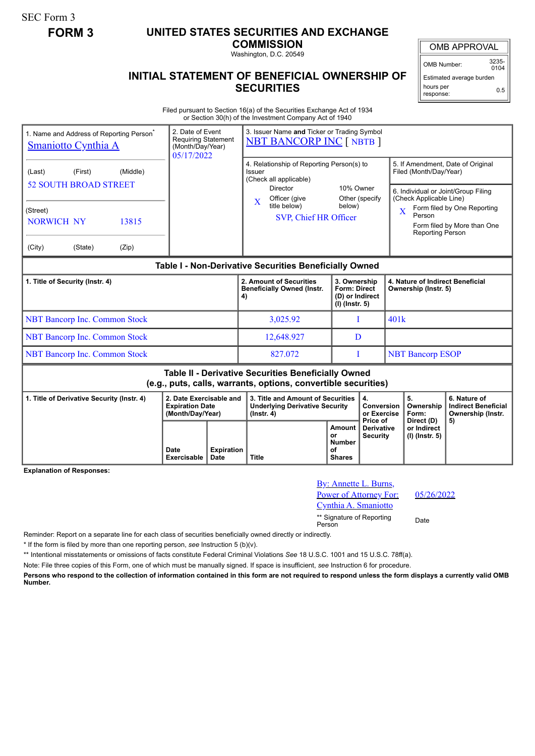SEC Form 3

## **FORM 3 UNITED STATES SECURITIES AND EXCHANGE**

**COMMISSION**

Washington, D.C. 20549

## OMB APPROVAL

OMB Number: 3235-  $0104$ 

Estimated average burden hours per response: 0.5

## **INITIAL STATEMENT OF BENEFICIAL OWNERSHIP OF SECURITIES**

Filed pursuant to Section 16(a) of the Securities Exchange Act of 1934 or Section 30(h) of the Investment Company Act of 1940

| 1. Name and Address of Reporting Person <sup>®</sup><br><b>Smaniotto Cynthia A</b>                                    |                    |                            | 2. Date of Event<br><b>Requiring Statement</b><br>(Month/Day/Year)<br>05/17/2022 |                           | 3. Issuer Name and Ticker or Trading Symbol<br><b>NBT BANCORP INC [ NBTB ]</b>                                                                                                                               |                                               |                                                                            |                                                                                                                                                                                                                                                             |                                                          |                                                                 |  |
|-----------------------------------------------------------------------------------------------------------------------|--------------------|----------------------------|----------------------------------------------------------------------------------|---------------------------|--------------------------------------------------------------------------------------------------------------------------------------------------------------------------------------------------------------|-----------------------------------------------|----------------------------------------------------------------------------|-------------------------------------------------------------------------------------------------------------------------------------------------------------------------------------------------------------------------------------------------------------|----------------------------------------------------------|-----------------------------------------------------------------|--|
| (Last)<br><b>52 SOUTH BROAD STREET</b><br>(Street)<br><b>NORWICH NY</b><br>(City)                                     | (First)<br>(State) | (Middle)<br>13815<br>(Zip) |                                                                                  |                           | 4. Relationship of Reporting Person(s) to<br>Issuer<br>(Check all applicable)<br>Director<br>10% Owner<br>Officer (give<br>Other (specify<br>$\mathbf{X}$<br>title below)<br>below)<br>SVP, Chief HR Officer |                                               |                                                                            | 5. If Amendment, Date of Original<br>Filed (Month/Day/Year)<br>6. Individual or Joint/Group Filing<br>(Check Applicable Line)<br>Form filed by One Reporting<br>$\overline{\textbf{X}}$<br>Person<br>Form filed by More than One<br><b>Reporting Person</b> |                                                          |                                                                 |  |
| Table I - Non-Derivative Securities Beneficially Owned                                                                |                    |                            |                                                                                  |                           |                                                                                                                                                                                                              |                                               |                                                                            |                                                                                                                                                                                                                                                             |                                                          |                                                                 |  |
| 1. Title of Security (Instr. 4)                                                                                       |                    |                            |                                                                                  |                           | 2. Amount of Securities<br><b>Beneficially Owned (Instr.</b><br>4)                                                                                                                                           |                                               | 3. Ownership<br><b>Form: Direct</b><br>(D) or Indirect<br>$(I)$ (lnstr. 5) |                                                                                                                                                                                                                                                             | 4. Nature of Indirect Beneficial<br>Ownership (Instr. 5) |                                                                 |  |
| <b>NBT Bancorp Inc. Common Stock</b>                                                                                  |                    |                            |                                                                                  |                           | 3,025.92                                                                                                                                                                                                     |                                               | I                                                                          |                                                                                                                                                                                                                                                             | 401k                                                     |                                                                 |  |
| <b>NBT Bancorp Inc. Common Stock</b>                                                                                  |                    |                            |                                                                                  |                           | 12,648.927                                                                                                                                                                                                   |                                               | D                                                                          |                                                                                                                                                                                                                                                             |                                                          |                                                                 |  |
| <b>NBT Bancorp Inc. Common Stock</b>                                                                                  |                    |                            |                                                                                  |                           | 827.072                                                                                                                                                                                                      |                                               | T                                                                          |                                                                                                                                                                                                                                                             | <b>NBT Bancorp ESOP</b>                                  |                                                                 |  |
| Table II - Derivative Securities Beneficially Owned<br>(e.g., puts, calls, warrants, options, convertible securities) |                    |                            |                                                                                  |                           |                                                                                                                                                                                                              |                                               |                                                                            |                                                                                                                                                                                                                                                             |                                                          |                                                                 |  |
| 1. Title of Derivative Security (Instr. 4)<br><b>Explanation of Responses:</b>                                        |                    |                            | 2. Date Exercisable and<br><b>Expiration Date</b><br>(Month/Day/Year)            |                           | 3. Title and Amount of Securities<br><b>Underlying Derivative Security</b><br>$($ Instr. 4 $)$                                                                                                               |                                               | 4.<br>Conversion<br>or Exercise<br>Price of                                |                                                                                                                                                                                                                                                             | 5.<br>Ownership<br>Form:<br>Direct (D)                   | 6. Nature of<br><b>Indirect Beneficial</b><br>Ownership (Instr. |  |
|                                                                                                                       |                    |                            | Date<br>Exercisable                                                              | <b>Expiration</b><br>Date | <b>Title</b>                                                                                                                                                                                                 | Amount<br>or<br>Number<br>οf<br><b>Shares</b> | <b>Derivative</b><br><b>Security</b>                                       |                                                                                                                                                                                                                                                             | or Indirect<br>$(I)$ (Instr. 5)                          | 5)                                                              |  |

By: Annette L. Burns, Power of Attorney For: Cynthia A. Smaniotto \*\* Signature of Reporting <sub>Date</sub><br>Person

05/26/2022

Reminder: Report on a separate line for each class of securities beneficially owned directly or indirectly.

\* If the form is filed by more than one reporting person, *see* Instruction 5 (b)(v).

\*\* Intentional misstatements or omissions of facts constitute Federal Criminal Violations *See* 18 U.S.C. 1001 and 15 U.S.C. 78ff(a).

Note: File three copies of this Form, one of which must be manually signed. If space is insufficient, *see* Instruction 6 for procedure.

**Persons who respond to the collection of information contained in this form are not required to respond unless the form displays a currently valid OMB Number.**